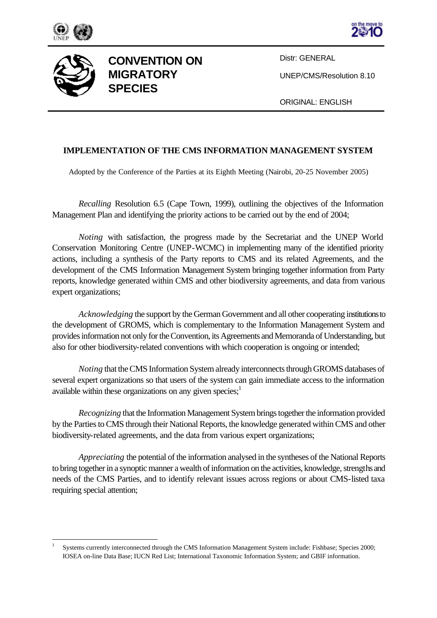





l

**CONVENTION ON MIGRATORY SPECIES**

Distr: GENERAL

UNEP/CMS/Resolution 8.10

ORIGINAL: ENGLISH

## **IMPLEMENTATION OF THE CMS INFORMATION MANAGEMENT SYSTEM**

Adopted by the Conference of the Parties at its Eighth Meeting (Nairobi, 20-25 November 2005)

*Recalling* Resolution 6.5 (Cape Town, 1999), outlining the objectives of the Information Management Plan and identifying the priority actions to be carried out by the end of 2004;

*Noting* with satisfaction, the progress made by the Secretariat and the UNEP World Conservation Monitoring Centre (UNEP-WCMC) in implementing many of the identified priority actions, including a synthesis of the Party reports to CMS and its related Agreements, and the development of the CMS Information Management System bringing together information from Party reports, knowledge generated within CMS and other biodiversity agreements, and data from various expert organizations;

*Acknowledging* the support by the German Government and all other cooperating institutions to the development of GROMS, which is complementary to the Information Management System and provides information not only for the Convention, its Agreements and Memoranda of Understanding, but also for other biodiversity-related conventions with which cooperation is ongoing or intended;

*Noting* that the CMS Information System already interconnects through GROMS databases of several expert organizations so that users of the system can gain immediate access to the information available within these organizations on any given species; $<sup>1</sup>$ </sup>

*Recognizing* that the Information Management System brings together the information provided by the Parties to CMS through their National Reports, the knowledge generated within CMS and other biodiversity-related agreements, and the data from various expert organizations;

*Appreciating* the potential of the information analysed in the syntheses of the National Reports to bring together in a synoptic manner a wealth of information on the activities, knowledge, strengths and needs of the CMS Parties, and to identify relevant issues across regions or about CMS-listed taxa requiring special attention;

<sup>1</sup> Systems currently interconnected through the CMS Information Management System include: Fishbase; Species 2000; IOSEA on-line Data Base; IUCN Red List; International Taxonomic Information System; and GBIF information.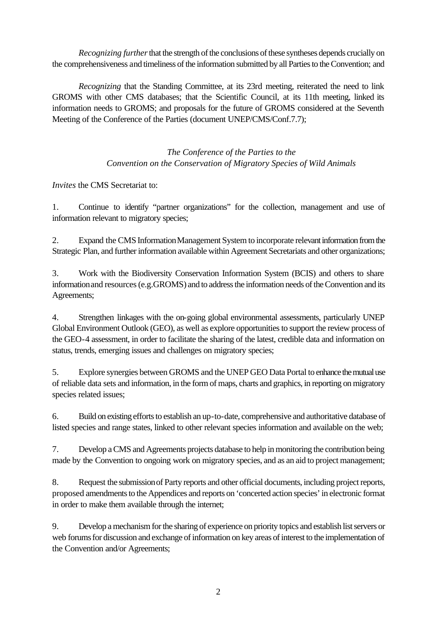*Recognizing further* that the strength of the conclusions of these syntheses depends crucially on the comprehensiveness and timeliness of the information submitted by all Parties to the Convention; and

*Recognizing* that the Standing Committee, at its 23rd meeting, reiterated the need to link GROMS with other CMS databases; that the Scientific Council, at its 11th meeting, linked its information needs to GROMS; and proposals for the future of GROMS considered at the Seventh Meeting of the Conference of the Parties (document UNEP/CMS/Conf.7.7);

> *The Conference of the Parties to the Convention on the Conservation of Migratory Species of Wild Animals*

*Invites* the CMS Secretariat to:

1. Continue to identify "partner organizations" for the collection, management and use of information relevant to migratory species;

2. Expand the CMS Information Management System to incorporate relevant information from the Strategic Plan, and further information available within Agreement Secretariats and other organizations;

3. Work with the Biodiversity Conservation Information System (BCIS) and others to share information and resources (e.g.GROMS) and to address the information needs of the Convention and its Agreements;

4. Strengthen linkages with the on-going global environmental assessments, particularly UNEP Global Environment Outlook (GEO), as well as explore opportunities to support the review process of the GEO-4 assessment, in order to facilitate the sharing of the latest, credible data and information on status, trends, emerging issues and challenges on migratory species;

5. Explore synergies between GROMS and the UNEP GEO Data Portal to enhance the mutual use of reliable data sets and information, in the form of maps, charts and graphics, in reporting on migratory species related issues;

6. Build on existing efforts to establish an up-to-date, comprehensive and authoritative database of listed species and range states, linked to other relevant species information and available on the web;

7. Develop a CMS and Agreements projects database to help in monitoring the contribution being made by the Convention to ongoing work on migratory species, and as an aid to project management;

8. Request the submission of Party reports and other official documents, including project reports, proposed amendments to the Appendices and reports on 'concerted action species' in electronic format in order to make them available through the internet;

9. Develop a mechanism for the sharing of experience on priority topics and establish list servers or web forums for discussion and exchange of information on key areas of interest to the implementation of the Convention and/or Agreements;